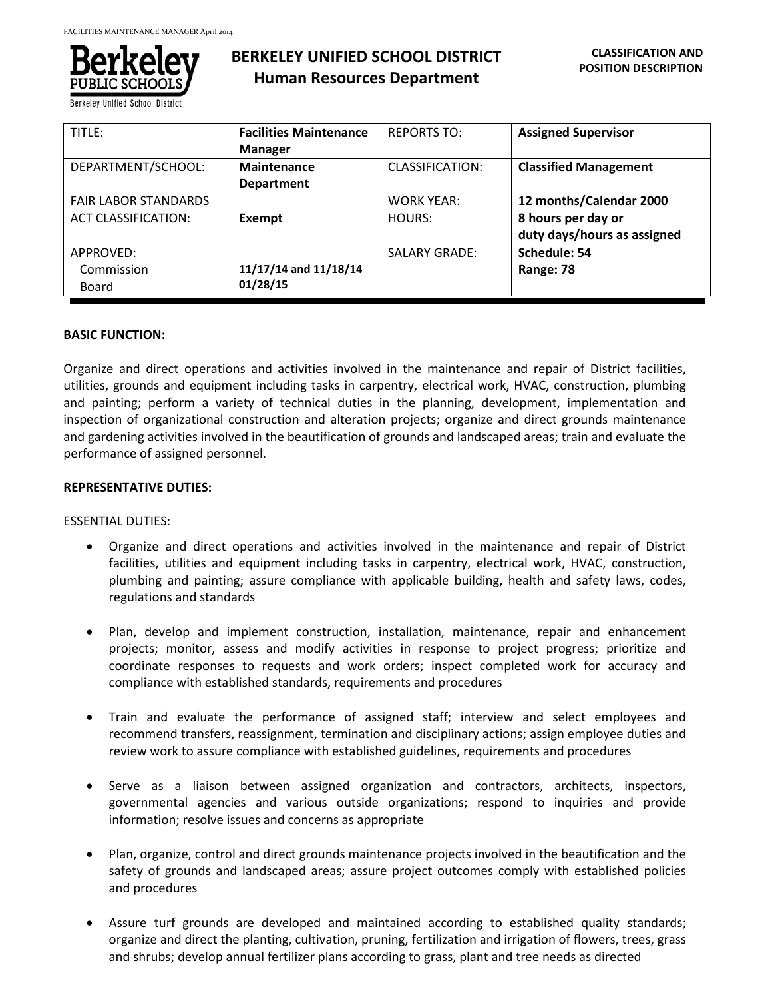

**Berkeley Unified School Distric** 

# **BERKELEY UNIFIED SCHOOL DISTRICT Human Resources Department**

| TITLE:                                                    | <b>Facilities Maintenance</b><br><b>Manager</b> | <b>REPORTS TO:</b>          | <b>Assigned Supervisor</b>                                                   |
|-----------------------------------------------------------|-------------------------------------------------|-----------------------------|------------------------------------------------------------------------------|
| DEPARTMENT/SCHOOL:                                        | Maintenance<br><b>Department</b>                | CLASSIFICATION:             | <b>Classified Management</b>                                                 |
| <b>FAIR LABOR STANDARDS</b><br><b>ACT CLASSIFICATION:</b> | Exempt                                          | <b>WORK YEAR:</b><br>HOURS: | 12 months/Calendar 2000<br>8 hours per day or<br>duty days/hours as assigned |
| APPROVED:<br>Commission<br>Board                          | 11/17/14 and 11/18/14<br>01/28/15               | <b>SALARY GRADE:</b>        | Schedule: 54<br>Range: 78                                                    |

# **BASIC FUNCTION:**

Organize and direct operations and activities involved in the maintenance and repair of District facilities, utilities, grounds and equipment including tasks in carpentry, electrical work, HVAC, construction, plumbing and painting; perform a variety of technical duties in the planning, development, implementation and inspection of organizational construction and alteration projects; organize and direct grounds maintenance and gardening activities involved in the beautification of grounds and landscaped areas; train and evaluate the performance of assigned personnel.

# **REPRESENTATIVE DUTIES:**

### ESSENTIAL DUTIES:

- Organize and direct operations and activities involved in the maintenance and repair of District facilities, utilities and equipment including tasks in carpentry, electrical work, HVAC, construction, plumbing and painting; assure compliance with applicable building, health and safety laws, codes, regulations and standards
- Plan, develop and implement construction, installation, maintenance, repair and enhancement projects; monitor, assess and modify activities in response to project progress; prioritize and coordinate responses to requests and work orders; inspect completed work for accuracy and compliance with established standards, requirements and procedures
- Train and evaluate the performance of assigned staff; interview and select employees and recommend transfers, reassignment, termination and disciplinary actions; assign employee duties and review work to assure compliance with established guidelines, requirements and procedures
- Serve as a liaison between assigned organization and contractors, architects, inspectors, governmental agencies and various outside organizations; respond to inquiries and provide information; resolve issues and concerns as appropriate
- Plan, organize, control and direct grounds maintenance projects involved in the beautification and the safety of grounds and landscaped areas; assure project outcomes comply with established policies and procedures
- Assure turf grounds are developed and maintained according to established quality standards; organize and direct the planting, cultivation, pruning, fertilization and irrigation of flowers, trees, grass and shrubs; develop annual fertilizer plans according to grass, plant and tree needs as directed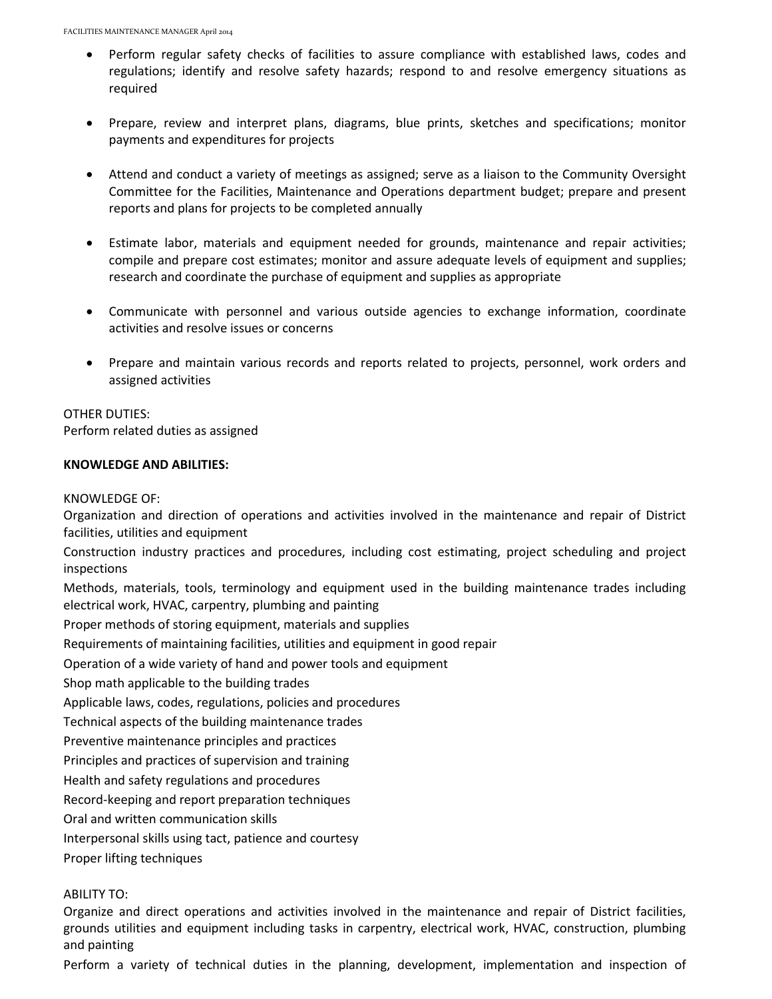- Perform regular safety checks of facilities to assure compliance with established laws, codes and regulations; identify and resolve safety hazards; respond to and resolve emergency situations as required
- Prepare, review and interpret plans, diagrams, blue prints, sketches and specifications; monitor payments and expenditures for projects
- Attend and conduct a variety of meetings as assigned; serve as a liaison to the Community Oversight Committee for the Facilities, Maintenance and Operations department budget; prepare and present reports and plans for projects to be completed annually
- Estimate labor, materials and equipment needed for grounds, maintenance and repair activities; compile and prepare cost estimates; monitor and assure adequate levels of equipment and supplies; research and coordinate the purchase of equipment and supplies as appropriate
- Communicate with personnel and various outside agencies to exchange information, coordinate activities and resolve issues or concerns
- Prepare and maintain various records and reports related to projects, personnel, work orders and assigned activities

# OTHER DUTIES:

Perform related duties as assigned

# **KNOWLEDGE AND ABILITIES:**

### KNOWLEDGE OF:

Organization and direction of operations and activities involved in the maintenance and repair of District facilities, utilities and equipment

Construction industry practices and procedures, including cost estimating, project scheduling and project inspections

Methods, materials, tools, terminology and equipment used in the building maintenance trades including electrical work, HVAC, carpentry, plumbing and painting

Proper methods of storing equipment, materials and supplies

Requirements of maintaining facilities, utilities and equipment in good repair

Operation of a wide variety of hand and power tools and equipment

Shop math applicable to the building trades

Applicable laws, codes, regulations, policies and procedures

Technical aspects of the building maintenance trades

Preventive maintenance principles and practices

Principles and practices of supervision and training

Health and safety regulations and procedures

Record-keeping and report preparation techniques

Oral and written communication skills

Interpersonal skills using tact, patience and courtesy

Proper lifting techniques

# ABILITY TO:

Organize and direct operations and activities involved in the maintenance and repair of District facilities, grounds utilities and equipment including tasks in carpentry, electrical work, HVAC, construction, plumbing and painting

Perform a variety of technical duties in the planning, development, implementation and inspection of